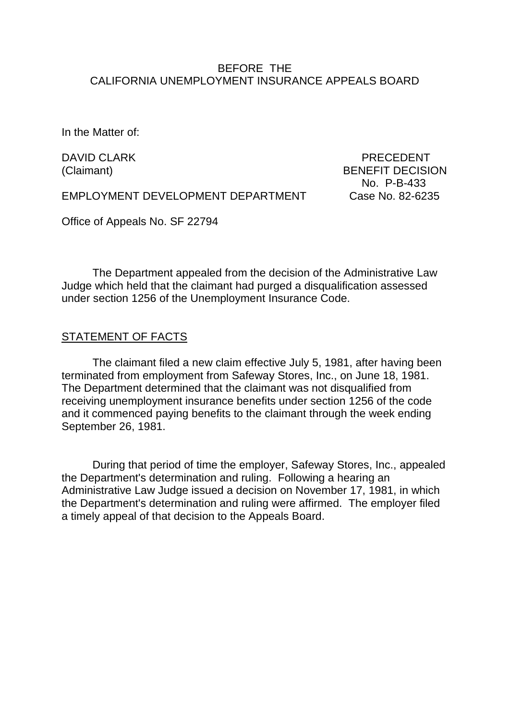### BEFORE THE CALIFORNIA UNEMPLOYMENT INSURANCE APPEALS BOARD

In the Matter of:

DAVID CLARK PRECEDENT (Claimant) BENEFIT DECISION No. P-B-433

EMPLOYMENT DEVELOPMENT DEPARTMENT Case No. 82-6235

Office of Appeals No. SF 22794

The Department appealed from the decision of the Administrative Law Judge which held that the claimant had purged a disqualification assessed under section 1256 of the Unemployment Insurance Code.

### STATEMENT OF FACTS

The claimant filed a new claim effective July 5, 1981, after having been terminated from employment from Safeway Stores, Inc., on June 18, 1981. The Department determined that the claimant was not disqualified from receiving unemployment insurance benefits under section 1256 of the code and it commenced paying benefits to the claimant through the week ending September 26, 1981.

During that period of time the employer, Safeway Stores, Inc., appealed the Department's determination and ruling. Following a hearing an Administrative Law Judge issued a decision on November 17, 1981, in which the Department's determination and ruling were affirmed. The employer filed a timely appeal of that decision to the Appeals Board.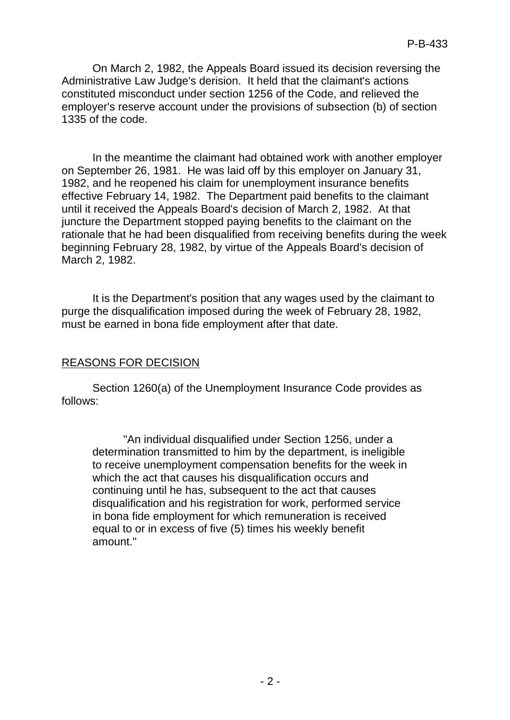On March 2, 1982, the Appeals Board issued its decision reversing the Administrative Law Judge's derision. It held that the claimant's actions constituted misconduct under section 1256 of the Code, and relieved the employer's reserve account under the provisions of subsection (b) of section 1335 of the code.

In the meantime the claimant had obtained work with another employer on September 26, 1981. He was laid off by this employer on January 31, 1982, and he reopened his claim for unemployment insurance benefits effective February 14, 1982. The Department paid benefits to the claimant until it received the Appeals Board's decision of March 2, 1982. At that juncture the Department stopped paying benefits to the claimant on the rationale that he had been disqualified from receiving benefits during the week beginning February 28, 1982, by virtue of the Appeals Board's decision of March 2, 1982.

It is the Department's position that any wages used by the claimant to purge the disqualification imposed during the week of February 28, 1982, must be earned in bona fide employment after that date.

# REASONS FOR DECISION

Section 1260(a) of the Unemployment Insurance Code provides as follows:

"An individual disqualified under Section 1256, under a determination transmitted to him by the department, is ineligible to receive unemployment compensation benefits for the week in which the act that causes his disqualification occurs and continuing until he has, subsequent to the act that causes disqualification and his registration for work, performed service in bona fide employment for which remuneration is received equal to or in excess of five (5) times his weekly benefit amount."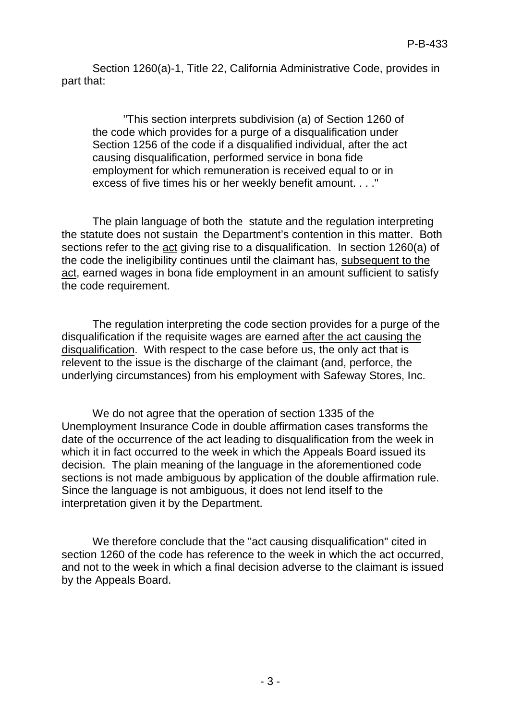Section 1260(a)-1, Title 22, California Administrative Code, provides in part that:

"This section interprets subdivision (a) of Section 1260 of the code which provides for a purge of a disqualification under Section 1256 of the code if a disqualified individual, after the act causing disqualification, performed service in bona fide employment for which remuneration is received equal to or in excess of five times his or her weekly benefit amount. . . ."

The plain language of both the statute and the regulation interpreting the statute does not sustain the Department's contention in this matter. Both sections refer to the act giving rise to a disqualification. In section 1260(a) of the code the ineligibility continues until the claimant has, subsequent to the act, earned wages in bona fide employment in an amount sufficient to satisfy the code requirement.

The regulation interpreting the code section provides for a purge of the disqualification if the requisite wages are earned after the act causing the disqualification. With respect to the case before us, the only act that is relevent to the issue is the discharge of the claimant (and, perforce, the underlying circumstances) from his employment with Safeway Stores, Inc.

We do not agree that the operation of section 1335 of the Unemployment Insurance Code in double affirmation cases transforms the date of the occurrence of the act leading to disqualification from the week in which it in fact occurred to the week in which the Appeals Board issued its decision. The plain meaning of the language in the aforementioned code sections is not made ambiguous by application of the double affirmation rule. Since the language is not ambiguous, it does not lend itself to the interpretation given it by the Department.

We therefore conclude that the "act causing disqualification" cited in section 1260 of the code has reference to the week in which the act occurred, and not to the week in which a final decision adverse to the claimant is issued by the Appeals Board.